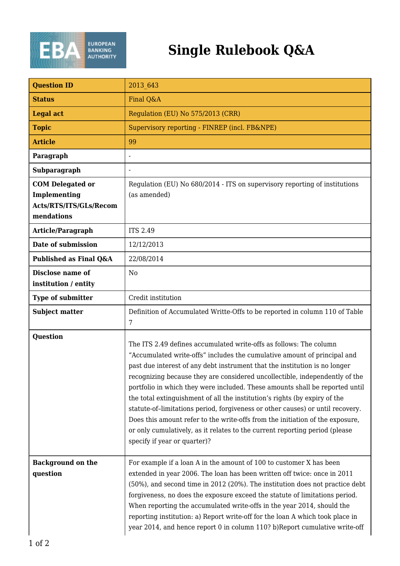

## **Single Rulebook Q&A**

| <b>Question ID</b>                                                                     | 2013 643                                                                                                                                                                                                                                                                                                                                                                                                                                                                                                                    |
|----------------------------------------------------------------------------------------|-----------------------------------------------------------------------------------------------------------------------------------------------------------------------------------------------------------------------------------------------------------------------------------------------------------------------------------------------------------------------------------------------------------------------------------------------------------------------------------------------------------------------------|
| <b>Status</b>                                                                          | Final Q&A                                                                                                                                                                                                                                                                                                                                                                                                                                                                                                                   |
| <b>Legal act</b>                                                                       | Regulation (EU) No 575/2013 (CRR)                                                                                                                                                                                                                                                                                                                                                                                                                                                                                           |
| <b>Topic</b>                                                                           | Supervisory reporting - FINREP (incl. FB&NPE)                                                                                                                                                                                                                                                                                                                                                                                                                                                                               |
| <b>Article</b>                                                                         | 99                                                                                                                                                                                                                                                                                                                                                                                                                                                                                                                          |
| Paragraph                                                                              | $\overline{a}$                                                                                                                                                                                                                                                                                                                                                                                                                                                                                                              |
| Subparagraph                                                                           |                                                                                                                                                                                                                                                                                                                                                                                                                                                                                                                             |
| <b>COM Delegated or</b><br><b>Implementing</b><br>Acts/RTS/ITS/GLs/Recom<br>mendations | Regulation (EU) No 680/2014 - ITS on supervisory reporting of institutions<br>(as amended)                                                                                                                                                                                                                                                                                                                                                                                                                                  |
| Article/Paragraph                                                                      | <b>ITS 2.49</b>                                                                                                                                                                                                                                                                                                                                                                                                                                                                                                             |
| Date of submission                                                                     | 12/12/2013                                                                                                                                                                                                                                                                                                                                                                                                                                                                                                                  |
| Published as Final Q&A                                                                 | 22/08/2014                                                                                                                                                                                                                                                                                                                                                                                                                                                                                                                  |
| Disclose name of<br>institution / entity                                               | N <sub>0</sub>                                                                                                                                                                                                                                                                                                                                                                                                                                                                                                              |
| <b>Type of submitter</b>                                                               | Credit institution                                                                                                                                                                                                                                                                                                                                                                                                                                                                                                          |
| <b>Subject matter</b>                                                                  | Definition of Accumulated Writte-Offs to be reported in column 110 of Table<br>7                                                                                                                                                                                                                                                                                                                                                                                                                                            |
| Question                                                                               | The ITS 2.49 defines accumulated write-offs as follows: The column<br>"Accumulated write-offs" includes the cumulative amount of principal and<br>past due interest of any debt instrument that the institution is no longer                                                                                                                                                                                                                                                                                                |
|                                                                                        | recognizing because they are considered uncollectible, independently of the<br>portfolio in which they were included. These amounts shall be reported until<br>the total extinguishment of all the institution's rights (by expiry of the<br>statute-of-limitations period, forgiveness or other causes) or until recovery.<br>Does this amount refer to the write-offs from the initiation of the exposure,<br>or only cumulatively, as it relates to the current reporting period (please<br>specify if year or quarter)? |